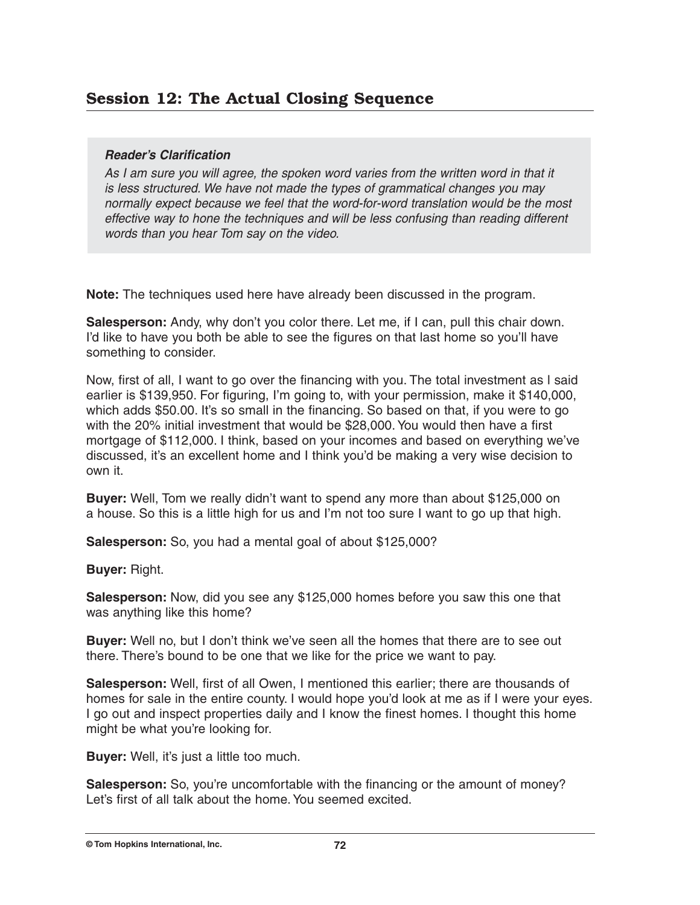## *Reader's Clarification*

As I am sure you will agree, the spoken word varies from the written word in that it is less structured. We have not made the types of grammatical changes you may normally expect because we feel that the word-for-word translation would be the most effective way to hone the techniques and will be less confusing than reading different words than you hear Tom say on the video.

**Note:** The techniques used here have already been discussed in the program.

**Salesperson:** Andy, why don't you color there. Let me, if I can, pull this chair down. I'd like to have you both be able to see the figures on that last home so you'll have something to consider.

Now, first of all, I want to go over the financing with you. The total investment as l said earlier is \$139,950. For figuring, I'm going to, with your permission, make it \$140,000, which adds \$50.00. It's so small in the financing. So based on that, if you were to go with the 20% initial investment that would be \$28,000. You would then have a first mortgage of \$112,000. I think, based on your incomes and based on everything we've discussed, it's an excellent home and I think you'd be making a very wise decision to own it.

**Buyer:** Well, Tom we really didn't want to spend any more than about \$125,000 on a house. So this is a little high for us and I'm not too sure I want to go up that high.

**Salesperson:** So, you had a mental goal of about \$125,000?

**Buyer:** Right.

**Salesperson:** Now, did you see any \$125,000 homes before you saw this one that was anything like this home?

**Buyer:** Well no, but I don't think we've seen all the homes that there are to see out there. There's bound to be one that we like for the price we want to pay.

**Salesperson:** Well, first of all Owen, I mentioned this earlier; there are thousands of homes for sale in the entire county. I would hope you'd look at me as if I were your eyes. I go out and inspect properties daily and I know the finest homes. I thought this home might be what you're looking for.

**Buyer:** Well, it's just a little too much.

**Salesperson:** So, you're uncomfortable with the financing or the amount of money? Let's first of all talk about the home. You seemed excited.

**© Tom Hopkins International, Inc. 72**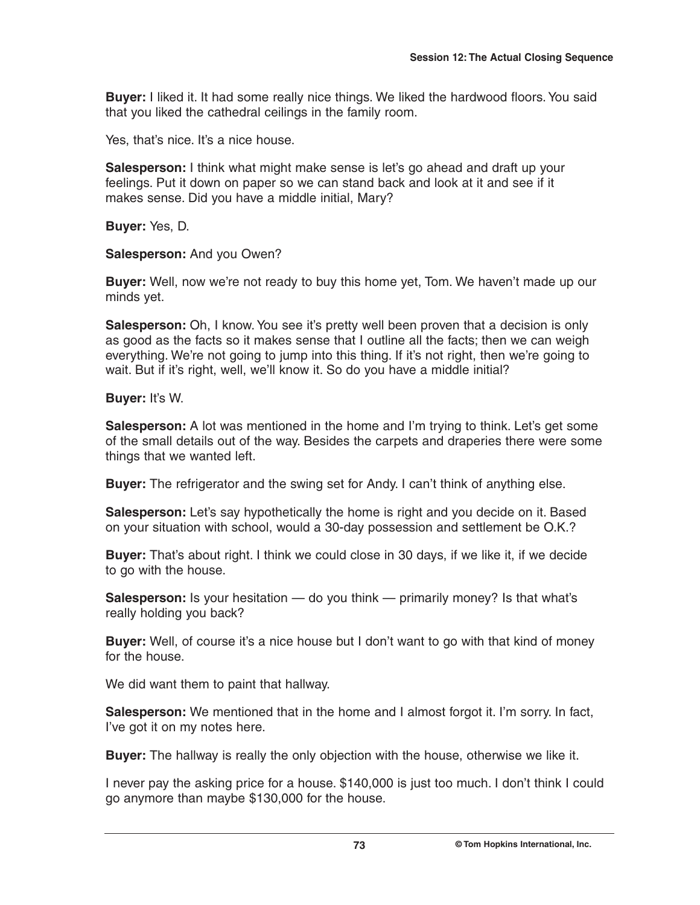**Buyer:** I liked it. It had some really nice things. We liked the hardwood floors. You said that you liked the cathedral ceilings in the family room.

Yes, that's nice. It's a nice house.

**Salesperson:** I think what might make sense is let's go ahead and draft up your feelings. Put it down on paper so we can stand back and look at it and see if it makes sense. Did you have a middle initial, Mary?

**Buyer:** Yes, D.

## **Salesperson:** And you Owen?

**Buyer:** Well, now we're not ready to buy this home yet, Tom. We haven't made up our minds yet.

**Salesperson:** Oh, I know. You see it's pretty well been proven that a decision is only as good as the facts so it makes sense that I outline all the facts; then we can weigh everything. We're not going to jump into this thing. If it's not right, then we're going to wait. But if it's right, well, we'll know it. So do you have a middle initial?

**Buyer:** It's W.

**Salesperson:** A lot was mentioned in the home and I'm trying to think. Let's get some of the small details out of the way. Besides the carpets and draperies there were some things that we wanted left.

**Buyer:** The refrigerator and the swing set for Andy. I can't think of anything else.

**Salesperson:** Let's say hypothetically the home is right and you decide on it. Based on your situation with school, would a 30-day possession and settlement be O.K.?

**Buyer:** That's about right. I think we could close in 30 days, if we like it, if we decide to go with the house.

**Salesperson:** Is your hesitation — do you think — primarily money? Is that what's really holding you back?

**Buyer:** Well, of course it's a nice house but I don't want to go with that kind of money for the house.

We did want them to paint that hallway.

**Salesperson:** We mentioned that in the home and I almost forgot it. I'm sorry. In fact, I've got it on my notes here.

**Buyer:** The hallway is really the only objection with the house, otherwise we like it.

I never pay the asking price for a house. \$140,000 is just too much. I don't think I could go anymore than maybe \$130,000 for the house.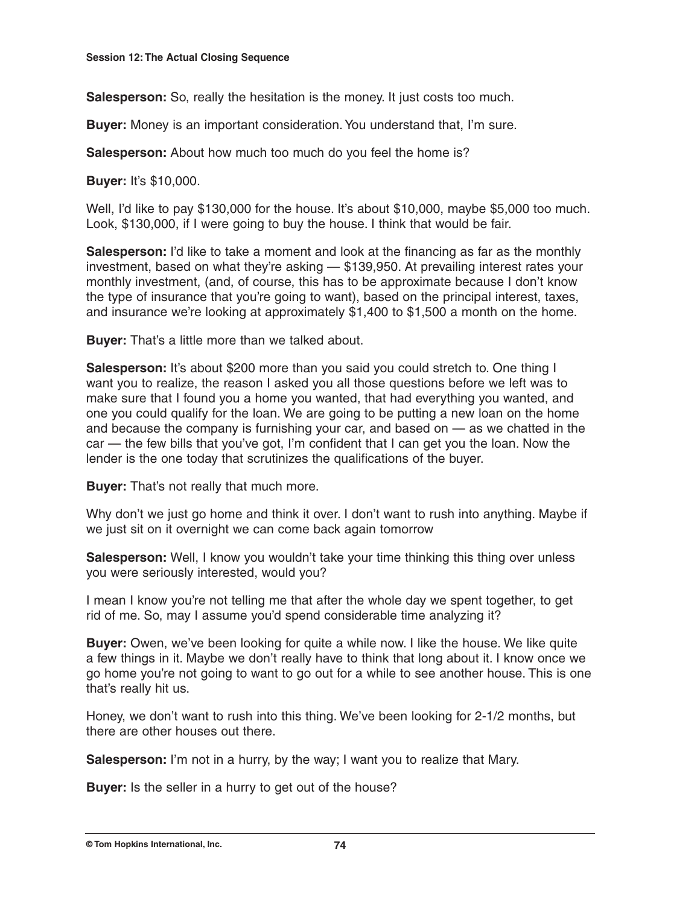**Salesperson:** So, really the hesitation is the money. It just costs too much.

**Buyer:** Money is an important consideration. You understand that, I'm sure.

**Salesperson:** About how much too much do you feel the home is?

**Buyer:** It's \$10,000.

Well, I'd like to pay \$130,000 for the house. It's about \$10,000, maybe \$5,000 too much. Look, \$130,000, if I were going to buy the house. I think that would be fair.

**Salesperson:** I'd like to take a moment and look at the financing as far as the monthly investment, based on what they're asking — \$139,950. At prevailing interest rates your monthly investment, (and, of course, this has to be approximate because I don't know the type of insurance that you're going to want), based on the principal interest, taxes, and insurance we're looking at approximately \$1,400 to \$1,500 a month on the home.

**Buyer:** That's a little more than we talked about.

**Salesperson:** It's about \$200 more than you said you could stretch to. One thing I want you to realize, the reason I asked you all those questions before we left was to make sure that I found you a home you wanted, that had everything you wanted, and one you could qualify for the loan. We are going to be putting a new loan on the home and because the company is furnishing your car, and based on — as we chatted in the car — the few bills that you've got, I'm confident that I can get you the loan. Now the lender is the one today that scrutinizes the qualifications of the buyer.

**Buyer:** That's not really that much more.

Why don't we just go home and think it over. I don't want to rush into anything. Maybe if we just sit on it overnight we can come back again tomorrow

**Salesperson:** Well, I know you wouldn't take your time thinking this thing over unless you were seriously interested, would you?

I mean I know you're not telling me that after the whole day we spent together, to get rid of me. So, may I assume you'd spend considerable time analyzing it?

**Buyer:** Owen, we've been looking for quite a while now. I like the house. We like quite a few things in it. Maybe we don't really have to think that long about it. I know once we go home you're not going to want to go out for a while to see another house. This is one that's really hit us.

Honey, we don't want to rush into this thing. We've been looking for 2-1/2 months, but there are other houses out there.

**Salesperson:** I'm not in a hurry, by the way; I want you to realize that Mary.

**Buyer:** Is the seller in a hurry to get out of the house?

**© Tom Hopkins International, Inc. 74**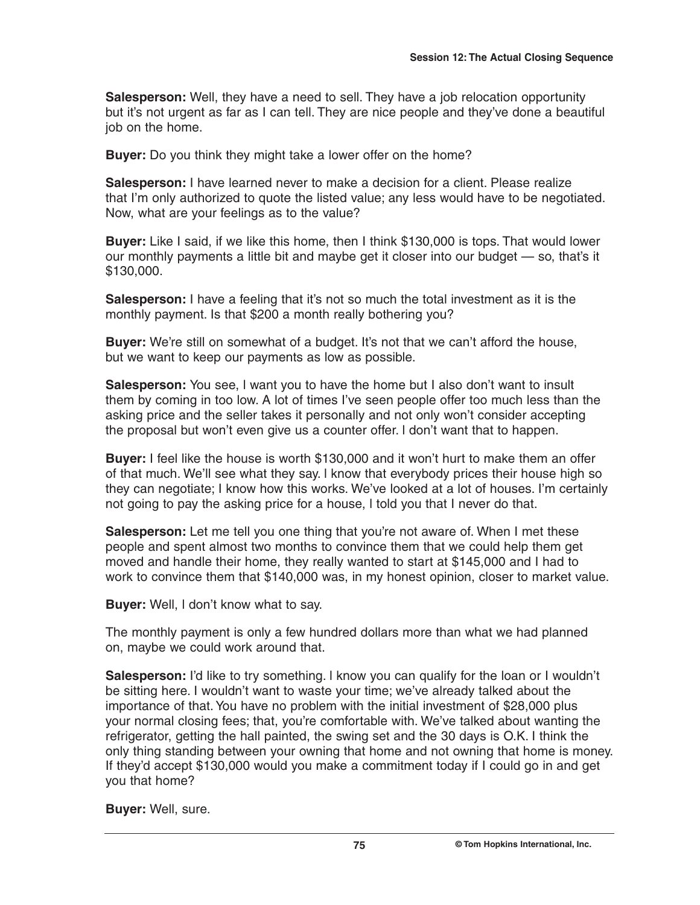**Salesperson:** Well, they have a need to sell. They have a job relocation opportunity but it's not urgent as far as I can tell. They are nice people and they've done a beautiful job on the home.

**Buyer:** Do you think they might take a lower offer on the home?

**Salesperson:** I have learned never to make a decision for a client. Please realize that I'm only authorized to quote the listed value; any less would have to be negotiated. Now, what are your feelings as to the value?

**Buyer:** Like I said, if we like this home, then I think \$130,000 is tops. That would lower our monthly payments a little bit and maybe get it closer into our budget — so, that's it \$130,000.

**Salesperson:** I have a feeling that it's not so much the total investment as it is the monthly payment. Is that \$200 a month really bothering you?

**Buyer:** We're still on somewhat of a budget. It's not that we can't afford the house, but we want to keep our payments as low as possible.

**Salesperson:** You see, l want you to have the home but I also don't want to insult them by coming in too low. A lot of times I've seen people offer too much less than the asking price and the seller takes it personally and not only won't consider accepting the proposal but won't even give us a counter offer. l don't want that to happen.

**Buyer:** I feel like the house is worth \$130,000 and it won't hurt to make them an offer of that much. We'll see what they say. l know that everybody prices their house high so they can negotiate; I know how this works. We've looked at a lot of houses. I'm certainly not going to pay the asking price for a house, l told you that I never do that.

**Salesperson:** Let me tell you one thing that you're not aware of. When I met these people and spent almost two months to convince them that we could help them get moved and handle their home, they really wanted to start at \$145,000 and I had to work to convince them that \$140,000 was, in my honest opinion, closer to market value.

**Buyer:** Well, l don't know what to say.

The monthly payment is only a few hundred dollars more than what we had planned on, maybe we could work around that.

**Salesperson:** I'd like to try something. l know you can qualify for the loan or I wouldn't be sitting here. I wouldn't want to waste your time; we've already talked about the importance of that. You have no problem with the initial investment of \$28,000 plus your normal closing fees; that, you're comfortable with. We've talked about wanting the refrigerator, getting the hall painted, the swing set and the 30 days is O.K. I think the only thing standing between your owning that home and not owning that home is money. If they'd accept \$130,000 would you make a commitment today if I could go in and get you that home?

**Buyer:** Well, sure.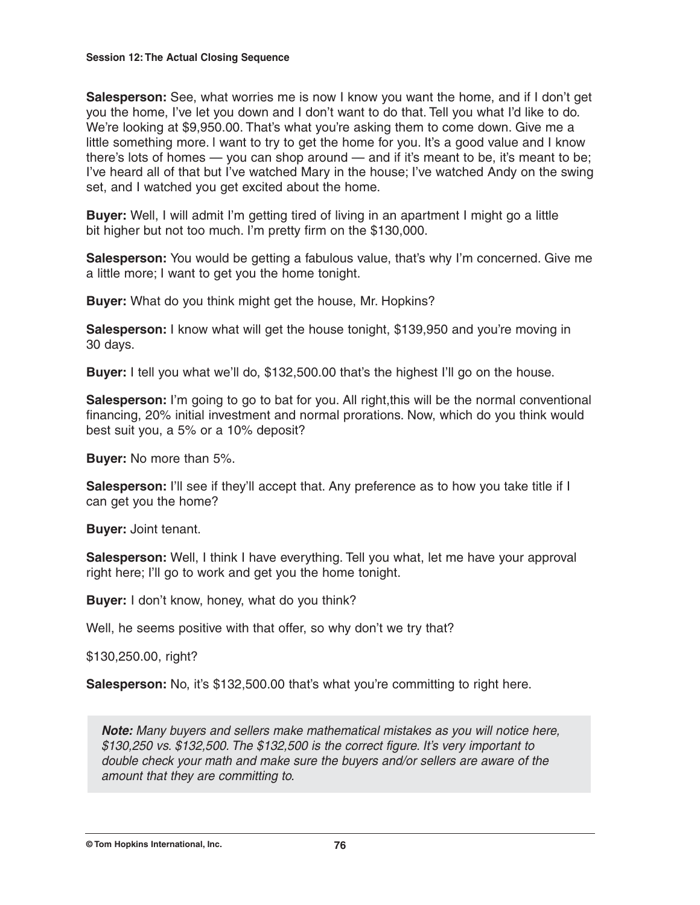#### **Session 12: The Actual Closing Sequence**

**Salesperson:** See, what worries me is now I know you want the home, and if I don't get you the home, I've let you down and I don't want to do that. Tell you what I'd like to do. We're looking at \$9,950.00. That's what you're asking them to come down. Give me a little something more. l want to try to get the home for you. It's a good value and I know there's lots of homes — you can shop around — and if it's meant to be, it's meant to be; I've heard all of that but I've watched Mary in the house; I've watched Andy on the swing set, and I watched you get excited about the home.

**Buyer:** Well, I will admit I'm getting tired of living in an apartment I might go a little bit higher but not too much. I'm pretty firm on the \$130,000.

**Salesperson:** You would be getting a fabulous value, that's why I'm concerned. Give me a little more; I want to get you the home tonight.

**Buyer:** What do you think might get the house, Mr. Hopkins?

**Salesperson:** I know what will get the house tonight, \$139,950 and you're moving in 30 days.

**Buyer:** I tell you what we'll do, \$132,500.00 that's the highest I'll go on the house.

**Salesperson:** I'm going to go to bat for you. All right,this will be the normal conventional financing, 20% initial investment and normal prorations. Now, which do you think would best suit you, a 5% or a 10% deposit?

**Buyer:** No more than 5%.

**Salesperson:** I'll see if they'll accept that. Any preference as to how you take title if I can get you the home?

**Buyer:** Joint tenant.

**Salesperson:** Well, I think I have everything. Tell you what, let me have your approval right here; I'll go to work and get you the home tonight.

**Buyer:** I don't know, honey, what do you think?

Well, he seems positive with that offer, so why don't we try that?

\$130,250.00, right?

**Salesperson:** No, it's \$132,500.00 that's what you're committing to right here.

*Note:* Many buyers and sellers make mathematical mistakes as you will notice here, \$130,250 vs. \$132,500. The \$132,500 is the correct figure. It's very important to double check your math and make sure the buyers and/or sellers are aware of the amount that they are committing to.

**© Tom Hopkins International, Inc. 76**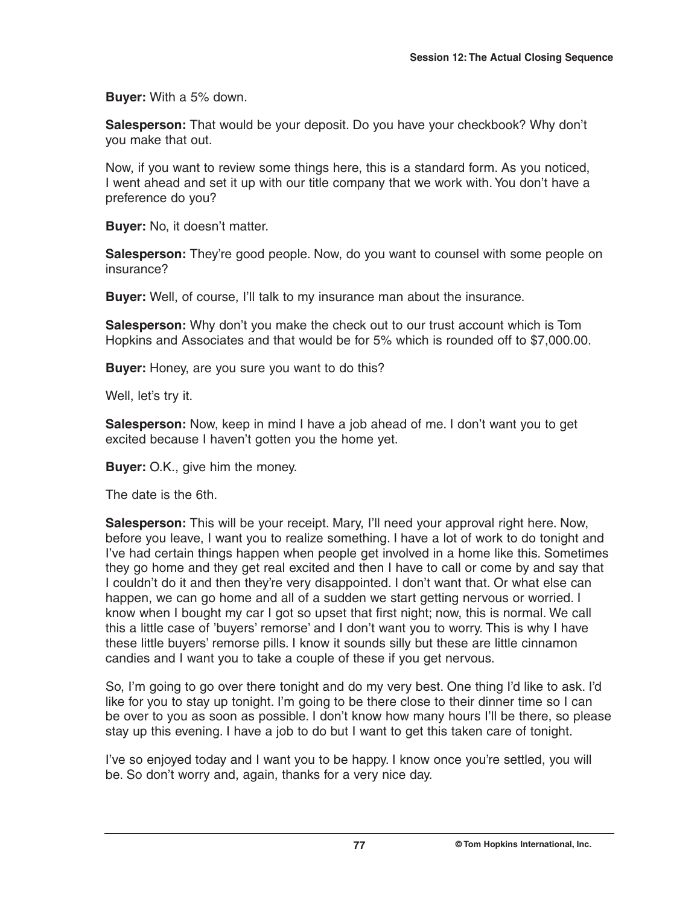**Buyer:** With a 5% down.

**Salesperson:** That would be your deposit. Do you have your checkbook? Why don't you make that out.

Now, if you want to review some things here, this is a standard form. As you noticed, I went ahead and set it up with our title company that we work with. You don't have a preference do you?

**Buyer:** No, it doesn't matter.

**Salesperson:** They're good people. Now, do you want to counsel with some people on insurance?

**Buyer:** Well, of course, I'll talk to my insurance man about the insurance.

**Salesperson:** Why don't you make the check out to our trust account which is Tom Hopkins and Associates and that would be for 5% which is rounded off to \$7,000.00.

**Buyer:** Honey, are you sure you want to do this?

Well, let's try it.

**Salesperson:** Now, keep in mind I have a job ahead of me. I don't want you to get excited because I haven't gotten you the home yet.

**Buyer:** O.K., give him the money.

The date is the 6th.

**Salesperson:** This will be your receipt. Mary, I'll need your approval right here. Now, before you leave, I want you to realize something. I have a lot of work to do tonight and I've had certain things happen when people get involved in a home like this. Sometimes they go home and they get real excited and then I have to call or come by and say that I couldn't do it and then they're very disappointed. I don't want that. Or what else can happen, we can go home and all of a sudden we start getting nervous or worried. I know when I bought my car I got so upset that first night; now, this is normal. We call this a little case of 'buyers' remorse' and I don't want you to worry. This is why I have these little buyers' remorse pills. I know it sounds silly but these are little cinnamon candies and I want you to take a couple of these if you get nervous.

So, I'm going to go over there tonight and do my very best. One thing I'd like to ask. I'd like for you to stay up tonight. I'm going to be there close to their dinner time so I can be over to you as soon as possible. I don't know how many hours I'll be there, so please stay up this evening. I have a job to do but I want to get this taken care of tonight.

I've so enjoyed today and I want you to be happy. I know once you're settled, you will be. So don't worry and, again, thanks for a very nice day.